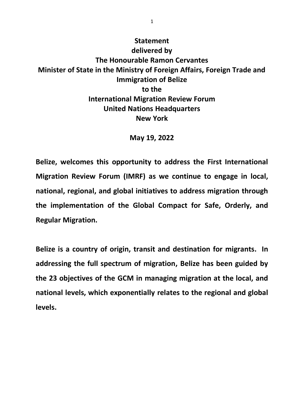## **Statement delivered by The Honourable Ramon Cervantes Minister of State in the Ministry of Foreign Affairs, Foreign Trade and Immigration of Belize to the International Migration Review Forum United Nations Headquarters New York**

## **May 19, 2022**

**Belize, welcomes this opportunity to address the First International Migration Review Forum (IMRF) as we continue to engage in local, national, regional, and global initiatives to address migration through the implementation of the Global Compact for Safe, Orderly, and Regular Migration.**

**Belize is a country of origin, transit and destination for migrants. In addressing the full spectrum of migration, Belize has been guided by the 23 objectives of the GCM in managing migration at the local, and national levels, which exponentially relates to the regional and global levels.** 

1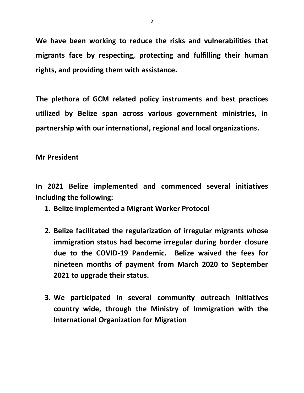**We have been working to reduce the risks and vulnerabilities that migrants face by respecting, protecting and fulfilling their human rights, and providing them with assistance.** 

**The plethora of GCM related policy instruments and best practices utilized by Belize span across various government ministries, in partnership with our international, regional and local organizations.** 

**Mr President**

**In 2021 Belize implemented and commenced several initiatives including the following:**

- **1. Belize implemented a Migrant Worker Protocol**
- **2. Belize facilitated the regularization of irregular migrants whose immigration status had become irregular during border closure due to the COVID-19 Pandemic. Belize waived the fees for nineteen months of payment from March 2020 to September 2021 to upgrade their status.**
- **3. We participated in several community outreach initiatives country wide, through the Ministry of Immigration with the International Organization for Migration**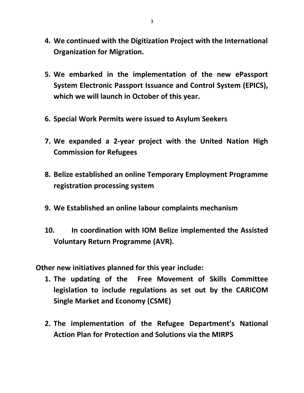- **4. We continued with the Digitization Project with the International Organization for Migration.**
- **5. We embarked in the implementation of the new ePassport System Electronic Passport Issuance and Control System (EPICS), which we will launch in October of this year.**
- **6. Special Work Permits were issued to Asylum Seekers**
- **7. We expanded a 2-year project with the United Nation High Commission for Refugees**
- **8. Belize established an online Temporary Employment Programme registration processing system**
- **9. We Established an online labour complaints mechanism**
- **10. In coordination with IOM Belize implemented the Assisted Voluntary Return Programme (AVR).**

**Other new initiatives planned for this year include:**

- **1. The updating of the Free Movement of Skills Committee legislation to include regulations as set out by the CARICOM Single Market and Economy (CSME)**
- **2. The implementation of the Refugee Department's National Action Plan for Protection and Solutions via the MIRPS**